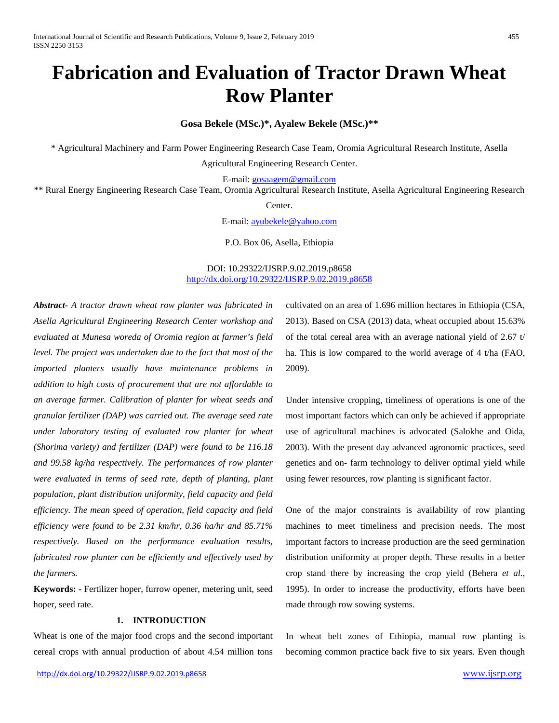# **Fabrication and Evaluation of Tractor Drawn Wheat Row Planter**

**Gosa Bekele (MSc.)\*, Ayalew Bekele (MSc.)\*\***

\* Agricultural Machinery and Farm Power Engineering Research Case Team, Oromia Agricultural Research Institute, Asella

Agricultural Engineering Research Center.

E-mail: [gosaagem@gmail.com](mailto:gosaagem@gmail.com)

\*\* Rural Energy Engineering Research Case Team, Oromia Agricultural Research Institute, Asella Agricultural Engineering Research

Center.

E-mail: [ayubekele@yahoo.com](mailto:ayubekele@yahoo.com)

P.O. Box 06, Asella, Ethiopia

# DOI: 10.29322/IJSRP.9.02.2019.p8658 <http://dx.doi.org/10.29322/IJSRP.9.02.2019.p8658>

*Abstract- A tractor drawn wheat row planter was fabricated in Asella Agricultural Engineering Research Center workshop and evaluated at Munesa woreda of Oromia region at farmer's field level. The project was undertaken due to the fact that most of the imported planters usually have maintenance problems in addition to high costs of procurement that are not affordable to an average farmer. Calibration of planter for wheat seeds and granular fertilizer (DAP) was carried out. The average seed rate under laboratory testing of evaluated row planter for wheat (Shorima variety) and fertilizer (DAP) were found to be 116.18 and 99.58 kg/ha respectively. The performances of row planter were evaluated in terms of seed rate, depth of planting, plant population, plant distribution uniformity, field capacity and field efficiency. The mean speed of operation, field capacity and field efficiency were found to be 2.31 km/hr, 0.36 ha/hr and 85.71% respectively. Based on the performance evaluation results, fabricated row planter can be efficiently and effectively used by the farmers.*

**Keywords: -** Fertilizer hoper, furrow opener, metering unit, seed hoper, seed rate.

# **1. INTRODUCTION**

Wheat is one of the major food crops and the second important cereal crops with annual production of about 4.54 million tons

<http://dx.doi.org/10.29322/IJSRP.9.02.2019.p8658> [www.ijsrp.org](http://ijsrp.org/)

cultivated on an area of 1.696 million hectares in Ethiopia (CSA, 2013). Based on CSA (2013) data, wheat occupied about 15.63% of the total cereal area with an average national yield of 2.67 t/ ha. This is low compared to the world average of 4 t/ha (FAO, 2009).

Under intensive cropping, timeliness of operations is one of the most important factors which can only be achieved if appropriate use of agricultural machines is advocated (Salokhe and Oida, 2003). With the present day advanced agronomic practices, seed genetics and on- farm technology to deliver optimal yield while using fewer resources, row planting is significant factor.

One of the major constraints is availability of row planting machines to meet timeliness and precision needs. The most important factors to increase production are the seed germination distribution uniformity at proper depth. These results in a better crop stand there by increasing the crop yield (Behera *et al.*, 1995). In order to increase the productivity, efforts have been made through row sowing systems.

In wheat belt zones of Ethiopia, manual row planting is becoming common practice back five to six years. Even though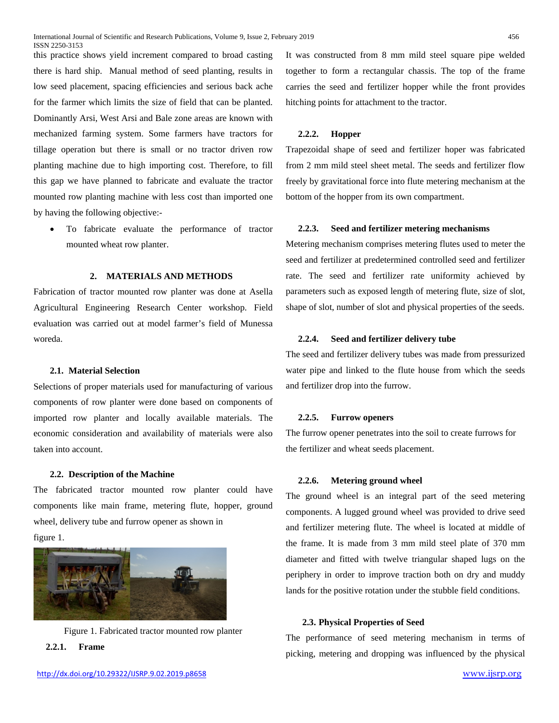this practice shows yield increment compared to broad casting there is hard ship. Manual method of seed planting, results in low seed placement, spacing efficiencies and serious back ache for the farmer which limits the size of field that can be planted. Dominantly Arsi, West Arsi and Bale zone areas are known with mechanized farming system. Some farmers have tractors for tillage operation but there is small or no tractor driven row planting machine due to high importing cost. Therefore, to fill this gap we have planned to fabricate and evaluate the tractor mounted row planting machine with less cost than imported one by having the following objective:-

To fabricate evaluate the performance of tractor mounted wheat row planter.

# **2. MATERIALS AND METHODS**

Fabrication of tractor mounted row planter was done at Asella Agricultural Engineering Research Center workshop. Field evaluation was carried out at model farmer's field of Munessa woreda.

# **2.1. Material Selection**

Selections of proper materials used for manufacturing of various components of row planter were done based on components of imported row planter and locally available materials. The economic consideration and availability of materials were also taken into account.

#### **2.2. Description of the Machine**

The fabricated tractor mounted row planter could have components like main frame, metering flute, hopper, ground wheel, delivery tube and furrow opener as shown in figure 1.





**2.2.1. Frame**

It was constructed from 8 mm mild steel square pipe welded together to form a rectangular chassis. The top of the frame carries the seed and fertilizer hopper while the front provides hitching points for attachment to the tractor.

# **2.2.2. Hopper**

Trapezoidal shape of seed and fertilizer hoper was fabricated from 2 mm mild steel sheet metal. The seeds and fertilizer flow freely by gravitational force into flute metering mechanism at the bottom of the hopper from its own compartment.

#### **2.2.3. Seed and fertilizer metering mechanisms**

Metering mechanism comprises metering flutes used to meter the seed and fertilizer at predetermined controlled seed and fertilizer rate. The seed and fertilizer rate uniformity achieved by parameters such as exposed length of metering flute, size of slot, shape of slot, number of slot and physical properties of the seeds.

#### **2.2.4. Seed and fertilizer delivery tube**

The seed and fertilizer delivery tubes was made from pressurized water pipe and linked to the flute house from which the seeds and fertilizer drop into the furrow.

#### **2.2.5. Furrow openers**

The furrow opener penetrates into the soil to create furrows for the fertilizer and wheat seeds placement.

#### **2.2.6. Metering ground wheel**

The ground wheel is an integral part of the seed metering components. A lugged ground wheel was provided to drive seed and fertilizer metering flute. The wheel is located at middle of the frame. It is made from 3 mm mild steel plate of 370 mm diameter and fitted with twelve triangular shaped lugs on the periphery in order to improve traction both on dry and muddy lands for the positive rotation under the stubble field conditions.

# **2.3. Physical Properties of Seed**

The performance of seed metering mechanism in terms of picking, metering and dropping was influenced by the physical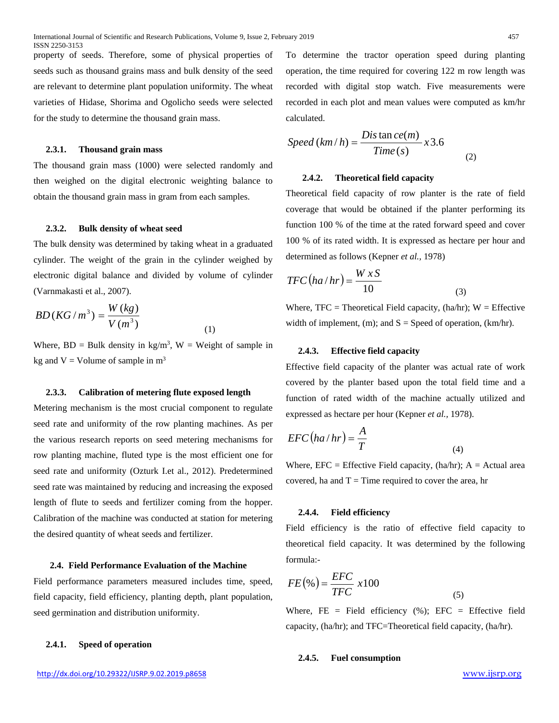property of seeds. Therefore, some of physical properties of seeds such as thousand grains mass and bulk density of the seed are relevant to determine plant population uniformity. The wheat varieties of Hidase, Shorima and Ogolicho seeds were selected for the study to determine the thousand grain mass.

# **2.3.1. Thousand grain mass**

The thousand grain mass (1000) were selected randomly and then weighed on the digital electronic weighting balance to obtain the thousand grain mass in gram from each samples.

#### **2.3.2. Bulk density of wheat seed**

The bulk density was determined by taking wheat in a graduated cylinder. The weight of the grain in the cylinder weighed by electronic digital balance and divided by volume of cylinder (Varnmakasti et al., 2007).

$$
BD(KG/m^3) = \frac{W(kg)}{V(m^3)}
$$

Where,  $BD = Bulk$  density in kg/m<sup>3</sup>,  $W = Weight$  of sample in kg and  $V =$  Volume of sample in  $m<sup>3</sup>$ 

(1)

#### **2.3.3. Calibration of metering flute exposed length**

Metering mechanism is the most crucial component to regulate seed rate and uniformity of the row planting machines. As per the various research reports on seed metering mechanisms for row planting machine, fluted type is the most efficient one for seed rate and uniformity (Ozturk I.et al., 2012). Predetermined seed rate was maintained by reducing and increasing the exposed length of flute to seeds and fertilizer coming from the hopper. Calibration of the machine was conducted at station for metering the desired quantity of wheat seeds and fertilizer.

# **2.4. Field Performance Evaluation of the Machine**

Field performance parameters measured includes time, speed, field capacity, field efficiency, planting depth, plant population, seed germination and distribution uniformity.

# **2.4.1. Speed of operation**

To determine the tractor operation speed during planting operation, the time required for covering 122 m row length was recorded with digital stop watch. Five measurements were recorded in each plot and mean values were computed as km/hr calculated.

$$
Speed (km/h) = \frac{Dis \tan ce(m)}{Time (s)} x3.6
$$
 (2)

### **2.4.2. Theoretical field capacity**

Theoretical field capacity of row planter is the rate of field coverage that would be obtained if the planter performing its function 100 % of the time at the rated forward speed and cover 100 % of its rated width. It is expressed as hectare per hour and determined as follows (Kepner *et al.,* 1978)

$$
TFC\left(ha/hr\right) = \frac{W \, x \, S}{10} \tag{3}
$$

Where,  $TFC = Theoretical Field capacity, (ha/hr); W = Effective$ width of implement, (m); and  $S = Speed$  of operation, (km/hr).

# **2.4.3. Effective field capacity**

Effective field capacity of the planter was actual rate of work covered by the planter based upon the total field time and a function of rated width of the machine actually utilized and expressed as hectare per hour (Kepner *et al.,* 1978).

$$
EFC\left(ha/hr\right) = \frac{A}{T}
$$
\n(4)

Where,  $EFC = Effective Field capacity$ ,  $(ha/hr)$ ;  $A = Actual area$ covered, ha and  $T =$  Time required to cover the area, hr

# **2.4.4. Field efficiency**

Field efficiency is the ratio of effective field capacity to theoretical field capacity. It was determined by the following formula:-

$$
FE\left(\%\right) = \frac{EFC}{TFC} \ x100\tag{5}
$$

Where,  $FE = Field$  efficiency (%);  $EFC = Effective$  field capacity, (ha/hr); and TFC=Theoretical field capacity, (ha/hr).

#### **2.4.5. Fuel consumption**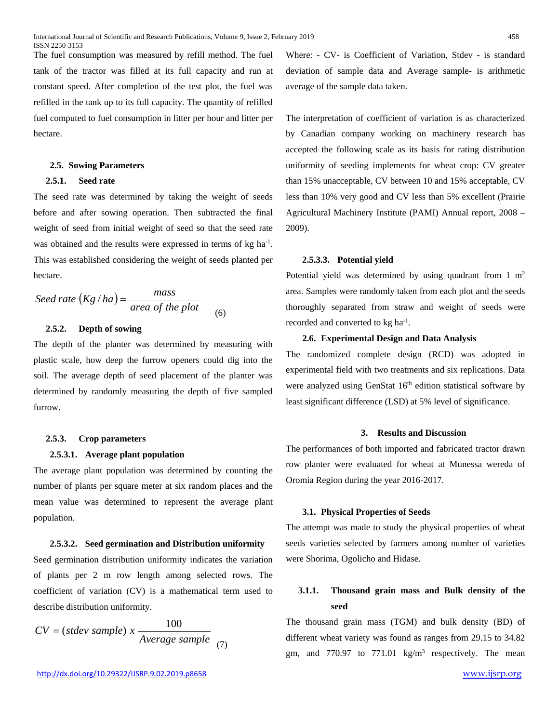The fuel consumption was measured by refill method. The fuel tank of the tractor was filled at its full capacity and run at constant speed. After completion of the test plot, the fuel was refilled in the tank up to its full capacity. The quantity of refilled fuel computed to fuel consumption in litter per hour and litter per hectare.

# **2.5. Sowing Parameters**

# **2.5.1. Seed rate**

The seed rate was determined by taking the weight of seeds before and after sowing operation. Then subtracted the final weight of seed from initial weight of seed so that the seed rate was obtained and the results were expressed in terms of kg ha<sup>-1</sup>. This was established considering the weight of seeds planted per hectare.

*Seed rate* 
$$
(Kg/ha) = \frac{mass}{area of the plot}
$$
 (6)

# **2.5.2. Depth of sowing**

The depth of the planter was determined by measuring with plastic scale, how deep the furrow openers could dig into the soil. The average depth of seed placement of the planter was determined by randomly measuring the depth of five sampled furrow.

## **2.5.3. Crop parameters**

#### **2.5.3.1. Average plant population**

The average plant population was determined by counting the number of plants per square meter at six random places and the mean value was determined to represent the average plant population.

#### **2.5.3.2. Seed germination and Distribution uniformity**

Seed germination distribution uniformity indicates the variation of plants per 2 m row length among selected rows. The coefficient of variation (CV) is a mathematical term used to describe distribution uniformity.

$$
CV = (stdev \, sample) \, x \, \frac{100}{Average \, sample} \quad (7)
$$

Where: - CV- is Coefficient of Variation, Stdev - is standard deviation of sample data and Average sample- is arithmetic average of the sample data taken.

The interpretation of coefficient of variation is as characterized by Canadian company working on machinery research has accepted the following scale as its basis for rating distribution uniformity of seeding implements for wheat crop: CV greater than 15% unacceptable, CV between 10 and 15% acceptable, CV less than 10% very good and CV less than 5% excellent (Prairie Agricultural Machinery Institute (PAMI) Annual report, 2008 – 2009).

#### **2.5.3.3. Potential yield**

Potential yield was determined by using quadrant from 1 m<sup>2</sup> area. Samples were randomly taken from each plot and the seeds thoroughly separated from straw and weight of seeds were recorded and converted to kg ha<sup>-1</sup>.

# **2.6. Experimental Design and Data Analysis**

The randomized complete design (RCD) was adopted in experimental field with two treatments and six replications. Data were analyzed using GenStat 16<sup>th</sup> edition statistical software by least significant difference (LSD) at 5% level of significance.

# **3. Results and Discussion**

The performances of both imported and fabricated tractor drawn row planter were evaluated for wheat at Munessa wereda of Oromia Region during the year 2016-2017.

# **3.1. Physical Properties of Seeds**

The attempt was made to study the physical properties of wheat seeds varieties selected by farmers among number of varieties were Shorima, Ogolicho and Hidase.

# **3.1.1. Thousand grain mass and Bulk density of the seed**

The thousand grain mass (TGM) and bulk density (BD) of different wheat variety was found as ranges from 29.15 to 34.82 gm, and 770.97 to 771.01  $\text{kg/m}^3$  respectively. The mean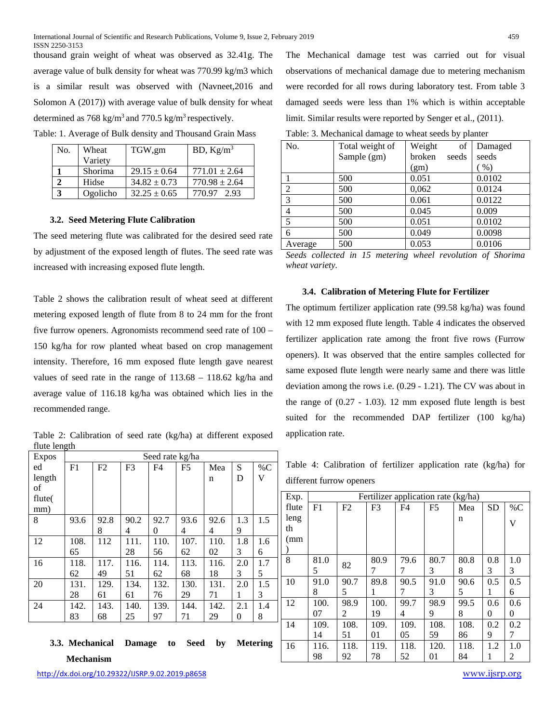thousand grain weight of wheat was observed as 32.41g. The average value of bulk density for wheat was 770.99 kg/m3 which is a similar result was observed with (Navneet,2016 and Solomon A (2017)) with average value of bulk density for wheat determined as 768 kg/m<sup>3</sup> and 770.5 kg/m<sup>3</sup> respectively.

| No. | Wheat    | TGW,gm           | BD, $Kg/m^3$      |
|-----|----------|------------------|-------------------|
|     | Variety  |                  |                   |
|     | Shorima  | $29.15 \pm 0.64$ | $771.01 \pm 2.64$ |
|     | Hidse    | $34.82 \pm 0.73$ | $770.98 \pm 2.64$ |
|     | Ogolicho | $32.25 \pm 0.65$ | 770.97<br>2.93    |

Table: 1. Average of Bulk density and Thousand Grain Mass

#### **3.2. Seed Metering Flute Calibration**

The seed metering flute was calibrated for the desired seed rate by adjustment of the exposed length of flutes. The seed rate was increased with increasing exposed flute length.

Table 2 shows the calibration result of wheat seed at different metering exposed length of flute from 8 to 24 mm for the front five furrow openers. Agronomists recommend seed rate of 100 – 150 kg/ha for row planted wheat based on crop management intensity. Therefore, 16 mm exposed flute length gave nearest values of seed rate in the range of 113.68 – 118.62 kg/ha and average value of 116.18 kg/ha was obtained which lies in the recommended range.

Table 2: Calibration of seed rate (kg/ha) at different exposed flute length

| <b>Expos</b> |                |      |                | Seed rate kg/ha |                |      |     |       |
|--------------|----------------|------|----------------|-----------------|----------------|------|-----|-------|
| ed           | F <sub>1</sub> | F2   | F <sub>3</sub> | F4              | F <sub>5</sub> | Mea  | S   | % $C$ |
| length       |                |      |                |                 |                | n    | D   | V     |
| of           |                |      |                |                 |                |      |     |       |
| flute(       |                |      |                |                 |                |      |     |       |
| mm)          |                |      |                |                 |                |      |     |       |
| 8            | 93.6           | 92.8 | 90.2           | 92.7            | 93.6           | 92.6 | 1.3 | 1.5   |
|              |                | 8    | 4              | 0               | 4              | 4    | 9   |       |
| 12           | 108.           | 112  | 111.           | 110.            | 107.           | 110. | 1.8 | 1.6   |
|              | 65             |      | 28             | 56              | 62             | 02   | 3   | 6     |
| 16           | 118.           | 117. | 116.           | 114.            | 113.           | 116. | 2.0 | 1.7   |
|              | 62             | 49   | 51             | 62              | 68             | 18   | 3   | 5     |
| 20           | 131.           | 129. | 134.           | 132.            | 130.           | 131. | 2.0 | 1.5   |
|              | 28             | 61   | 61             | 76              | 29             | 71   | 1   | 3     |
| 24           | 142.           | 143. | 140.           | 139.            | 144.           | 142. | 2.1 | 1.4   |
|              | 83             | 68   | 25             | 97              | 71             | 29   | 0   | 8     |
|              |                |      |                |                 |                |      |     |       |

# **3.3. Mechanical Damage to Seed by Metering Mechanism**

The Mechanical damage test was carried out for visual observations of mechanical damage due to metering mechanism were recorded for all rows during laboratory test. From table 3 damaged seeds were less than 1% which is within acceptable limit. Similar results were reported by Senger et al., (2011).

| No.            | Total weight of | Weight<br>of    | Damaged         |
|----------------|-----------------|-----------------|-----------------|
|                | Sample (gm)     | broken<br>seeds | seeds           |
|                |                 | (gm)            | $\mathcal{O}_0$ |
|                | 500             | 0.051           | 0.0102          |
| 2              | 500             | 0,062           | 0.0124          |
| 3              | 500             | 0.061           | 0.0122          |
| $\overline{4}$ | 500             | 0.045           | 0.009           |
| 5              | 500             | 0.051           | 0.0102          |
| 6              | 500             | 0.049           | 0.0098          |
| Average        | 500             | 0.053           | 0.0106          |

*Seeds collected in 15 metering wheel revolution of Shorima wheat variety.*

# **3.4. Calibration of Metering Flute for Fertilizer**

The optimum fertilizer application rate (99.58 kg/ha) was found with 12 mm exposed flute length. Table 4 indicates the observed fertilizer application rate among the front five rows (Furrow openers). It was observed that the entire samples collected for same exposed flute length were nearly same and there was little deviation among the rows i.e. (0.29 - 1.21). The CV was about in the range of  $(0.27 - 1.03)$ . 12 mm exposed flute length is best suited for the recommended DAP fertilizer (100 kg/ha) application rate.

Table 4: Calibration of fertilizer application rate (kg/ha) for different furrow openers

| Exp.  |      | Fertilizer application rate (kg/ha) |                |                |                |      |           |       |  |
|-------|------|-------------------------------------|----------------|----------------|----------------|------|-----------|-------|--|
| flute | F1   | F2                                  | F <sub>3</sub> | F <sub>4</sub> | F <sub>5</sub> | Mea  | <b>SD</b> | $\%C$ |  |
| leng  |      |                                     |                |                |                | n    |           | V     |  |
| th    |      |                                     |                |                |                |      |           |       |  |
| (mm   |      |                                     |                |                |                |      |           |       |  |
|       |      |                                     |                |                |                |      |           |       |  |
| 8     | 81.0 | 82                                  | 80.9           | 79.6           | 80.7           | 80.8 | 0.8       | 1.0   |  |
|       | 5    |                                     | 7              | 7              | 3              | 8    | 3         | 3     |  |
| 10    | 91.0 | 90.7                                | 89.8           | 90.5           | 91.0           | 90.6 | 0.5       | 0.5   |  |
|       | 8    | 5                                   | 1              | 7              | 3              | 5    | 1         | 6     |  |
| 12    | 100. | 98.9                                | 100.           | 99.7           | 98.9           | 99.5 | 0.6       | 0.6   |  |
|       | 07   | 2                                   | 19             | 4              | 9              | 8    | 0         | 0     |  |
| 14    | 109. | 108.                                | 109.           | 109.           | 108.           | 108. | 0.2       | 0.2   |  |
|       | 14   | 51                                  | 01             | 05             | 59             | 86   | 9         | 7     |  |
| 16    | 116. | 118.                                | 119.           | 118.           | 120.           | 118. | 1.2       | 1.0   |  |
|       | 98   | 92                                  | 78             | 52             | 01             | 84   | 1         | 2     |  |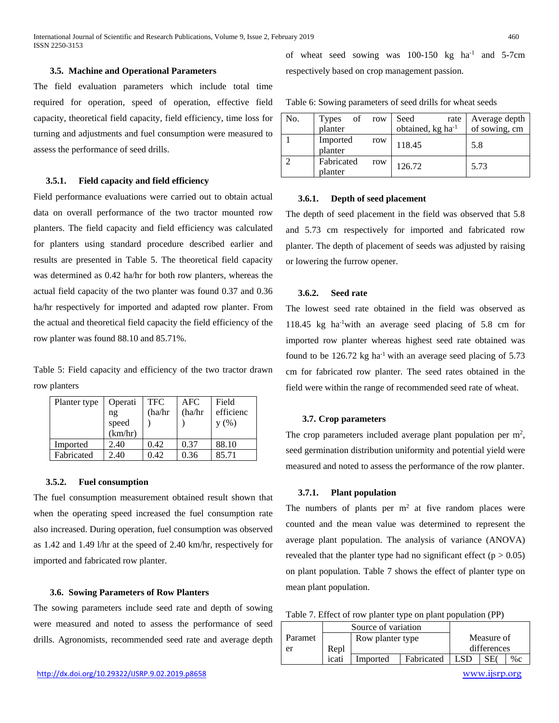#### **3.5. Machine and Operational Parameters**

The field evaluation parameters which include total time required for operation, speed of operation, effective field capacity, theoretical field capacity, field efficiency, time loss for turning and adjustments and fuel consumption were measured to assess the performance of seed drills.

# **3.5.1. Field capacity and field efficiency**

Field performance evaluations were carried out to obtain actual data on overall performance of the two tractor mounted row planters. The field capacity and field efficiency was calculated for planters using standard procedure described earlier and results are presented in Table 5. The theoretical field capacity was determined as 0.42 ha/hr for both row planters, whereas the actual field capacity of the two planter was found 0.37 and 0.36 ha/hr respectively for imported and adapted row planter. From the actual and theoretical field capacity the field efficiency of the row planter was found 88.10 and 85.71%.

Table 5: Field capacity and efficiency of the two tractor drawn row planters

| Planter type | Operati          | <b>TFC</b> | AFC    | Field     |
|--------------|------------------|------------|--------|-----------|
|              | ng               | (ha/hr     | (ha/hr | efficienc |
|              | speed<br>(km/hr) |            |        | y(%)      |
|              |                  |            |        |           |
| Imported     | 2.40             | 0.42       | 0.37   | 88.10     |
| Fabricated   | 2.40             | 0.42       | 0.36   | 85.71     |

#### **3.5.2. Fuel consumption**

The fuel consumption measurement obtained result shown that when the operating speed increased the fuel consumption rate also increased. During operation, fuel consumption was observed as 1.42 and 1.49 l/hr at the speed of 2.40 km/hr, respectively for imported and fabricated row planter.

# **3.6. Sowing Parameters of Row Planters**

The sowing parameters include seed rate and depth of sowing were measured and noted to assess the performance of seed drills. Agronomists, recommended seed rate and average depth

of wheat seed sowing was  $100-150$  kg ha<sup>-1</sup> and  $5-7$ cm respectively based on crop management passion.

| Table 6: Sowing parameters of seed drills for wheat seeds |  |  |  |  |  |  |
|-----------------------------------------------------------|--|--|--|--|--|--|
|-----------------------------------------------------------|--|--|--|--|--|--|

| No. | of<br><b>Types</b><br>planter | row | Seed<br>rate  <br>obtained, kg ha <sup>-1</sup> | Average depth<br>of sowing, cm |
|-----|-------------------------------|-----|-------------------------------------------------|--------------------------------|
|     |                               |     |                                                 |                                |
|     | Imported<br>planter           | row | 118.45                                          | 5.8                            |
|     | Fabricated<br>planter         | row | 126.72                                          | 5.73                           |

#### **3.6.1. Depth of seed placement**

The depth of seed placement in the field was observed that 5.8 and 5.73 cm respectively for imported and fabricated row planter. The depth of placement of seeds was adjusted by raising or lowering the furrow opener.

# **3.6.2. Seed rate**

The lowest seed rate obtained in the field was observed as 118.45 kg ha-1 with an average seed placing of 5.8 cm for imported row planter whereas highest seed rate obtained was found to be  $126.72$  kg ha<sup>-1</sup> with an average seed placing of 5.73 cm for fabricated row planter. The seed rates obtained in the field were within the range of recommended seed rate of wheat.

# **3.7. Crop parameters**

The crop parameters included average plant population per  $m^2$ , seed germination distribution uniformity and potential yield were measured and noted to assess the performance of the row planter.

#### **3.7.1. Plant population**

The numbers of plants per  $m<sup>2</sup>$  at five random places were counted and the mean value was determined to represent the average plant population. The analysis of variance (ANOVA) revealed that the planter type had no significant effect ( $p > 0.05$ ) on plant population. Table 7 shows the effect of planter type on mean plant population.

| Table 7. Effect of row planter type on plant population (PP) |  |  |
|--------------------------------------------------------------|--|--|
|                                                              |  |  |

|         |       | Source of variation |            |             |  |       |
|---------|-------|---------------------|------------|-------------|--|-------|
| Paramet |       | Row planter type    | Measure of |             |  |       |
| er      | Repl  |                     |            | differences |  |       |
|         | icati | Imported            | Fabricated | .SD         |  | $\%c$ |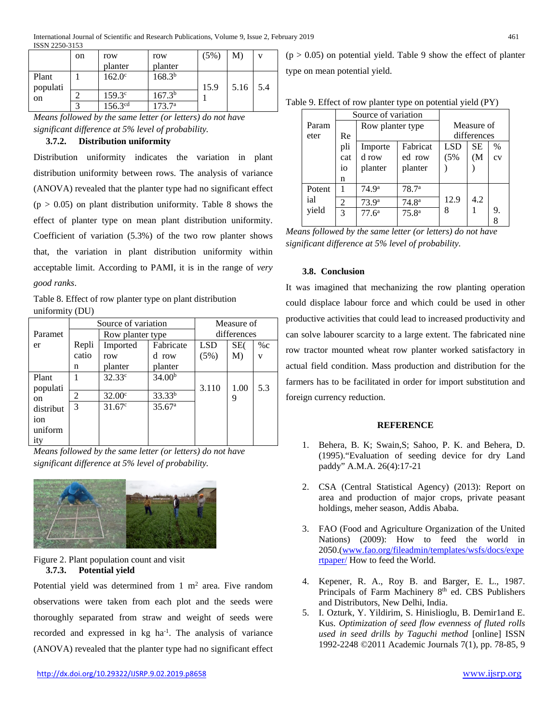|                   | <sub>on</sub> | row<br>planter      | row<br>planter  | (5%) | M)   | $\mathbf{V}$ |
|-------------------|---------------|---------------------|-----------------|------|------|--------------|
| Plant<br>populati |               | $162.0^{\circ}$     | $168.3^{b}$     | 15.9 | 5.16 | 5.4          |
| on                |               | $159.3^{\circ}$     | $167.3^{b}$     |      |      |              |
|                   | ⌒             | 156.3 <sup>cd</sup> | $173.7^{\circ}$ |      |      |              |

*Means followed by the same letter (or letters) do not have significant difference at 5% level of probability.*

# **3.7.2. Distribution uniformity**

Distribution uniformity indicates the variation in plant distribution uniformity between rows. The analysis of variance (ANOVA) revealed that the planter type had no significant effect  $(p > 0.05)$  on plant distribution uniformity. Table 8 shows the effect of planter type on mean plant distribution uniformity. Coefficient of variation (5.3%) of the two row planter shows that, the variation in plant distribution uniformity within acceptable limit. According to PAMI, it is in the range of *very good ranks*.

Table 8. Effect of row planter type on plant distribution uniformity (DU)

|           |       | Source of variation |                    | Measure of |             |                         |  |
|-----------|-------|---------------------|--------------------|------------|-------------|-------------------------|--|
| Paramet   |       |                     | Row planter type   |            | differences |                         |  |
| er        | Repli | Imported            | Fabricate          | <b>LSD</b> | SE(         | $\%c$                   |  |
|           | catio | row                 | d row              | (5%)       | M)          | $\overline{\mathbf{V}}$ |  |
|           | n     | planter             | planter            |            |             |                         |  |
| Plant     |       | 32.33c              | 34.00 <sup>b</sup> |            |             |                         |  |
| populati  |       |                     |                    | 3.110      | 1.00        | 5.3                     |  |
| on        | 2     | 32.00 <sup>c</sup>  | 33.33 <sup>b</sup> |            | 9           |                         |  |
| distribut | 3     | $31.67^{\circ}$     | 35.67 <sup>a</sup> |            |             |                         |  |
| ion       |       |                     |                    |            |             |                         |  |
| uniform   |       |                     |                    |            |             |                         |  |
| ity       |       |                     |                    |            |             |                         |  |

*Means followed by the same letter (or letters) do not have significant difference at 5% level of probability.*



# Figure 2. Plant population count and visit **3.7.3. Potential yield**

Potential yield was determined from 1  $m<sup>2</sup>$  area. Five random observations were taken from each plot and the seeds were thoroughly separated from straw and weight of seeds were recorded and expressed in kg ha<sup>-1</sup>. The analysis of variance (ANOVA) revealed that the planter type had no significant effect

 $(p > 0.05)$  on potential yield. Table 9 show the effect of planter type on mean potential yield.

|               | Source of variation |                   |                   |            |           |    |
|---------------|---------------------|-------------------|-------------------|------------|-----------|----|
| Param         |                     | Row planter type  |                   | Measure of |           |    |
| eter          | Re                  |                   | differences       |            |           |    |
|               | pli                 | Importe           | Fabricat          | LSD        | <b>SE</b> | %  |
|               | cat                 | d row             | ed row            | (5%        | (M        | CV |
|               | io                  | planter           | planter           |            |           |    |
|               | n                   |                   |                   |            |           |    |
| Potent<br>ial |                     | 74.9 <sup>a</sup> | 78.7 <sup>a</sup> | 12.9       | 4.2       |    |
|               | $\overline{c}$      | 73.9 <sup>a</sup> | 74.8 <sup>a</sup> |            |           |    |
| yield         | 3                   | 77.6 <sup>a</sup> | 75.8 <sup>a</sup> | 8          |           | 9. |
|               |                     |                   |                   |            |           | 8  |

*Means followed by the same letter (or letters) do not have significant difference at 5% level of probability.*

# **3.8. Conclusion**

It was imagined that mechanizing the row planting operation could displace labour force and which could be used in other productive activities that could lead to increased productivity and can solve labourer scarcity to a large extent. The fabricated nine row tractor mounted wheat row planter worked satisfactory in actual field condition. Mass production and distribution for the farmers has to be facilitated in order for import substitution and foreign currency reduction.

# **REFERENCE**

- 1. Behera, B. K; Swain,S; Sahoo, P. K. and Behera, D. (1995)."Evaluation of seeding device for dry Land paddy" A.M.A. 26(4):17-21
- 2. CSA (Central Statistical Agency) (2013): Report on area and production of major crops, private peasant holdings, meher season, Addis Ababa.
- 3. FAO (Food and Agriculture Organization of the United Nations) (2009): How to feed the world in 2050.[\(www.fao.org/fileadmin/templates/wsfs/docs/expe](http://www.fao.org/fileadmin/templates/wsfs/docs/expertpaper/) [rtpaper/](http://www.fao.org/fileadmin/templates/wsfs/docs/expertpaper/) How to feed the World.
- 4. Kepener, R. A., Roy B. and Barger, E. L., 1987. Principals of Farm Machinery 8<sup>th</sup> ed. CBS Publishers and Distributors, New Delhi, India.
- 5. I. Ozturk, Y. Yildirim, S. Hinislioglu, B. Demir1and E. Kus. *Optimization of seed flow evenness of fluted rolls used in seed drills by Taguchi method* [online] ISSN 1992-2248 ©2011 Academic Journals 7(1), pp. 78-85, 9